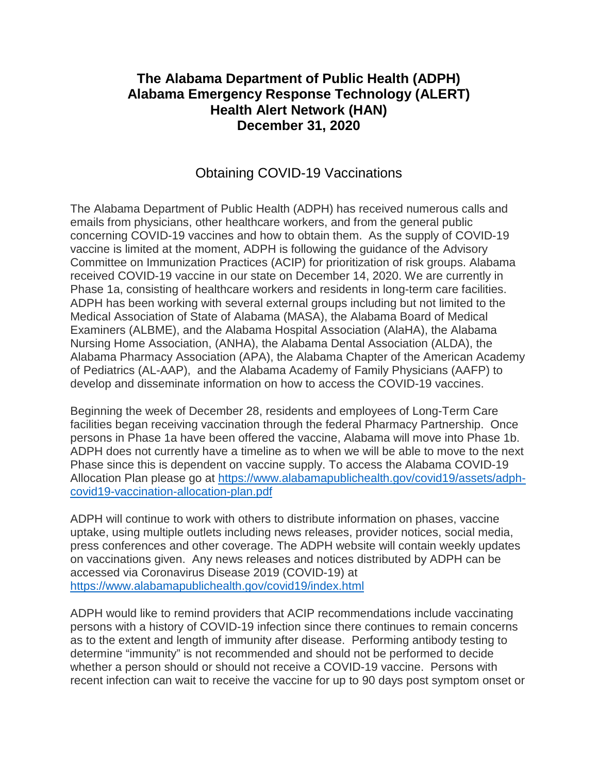## **The Alabama Department of Public Health (ADPH) Alabama Emergency Response Technology (ALERT) Health Alert Network (HAN) December 31, 2020**

## Obtaining COVID-19 Vaccinations

The Alabama Department of Public Health (ADPH) has received numerous calls and emails from physicians, other healthcare workers, and from the general public concerning COVID-19 vaccines and how to obtain them. As the supply of COVID-19 vaccine is limited at the moment, ADPH is following the guidance of the Advisory Committee on Immunization Practices (ACIP) for prioritization of risk groups. Alabama received COVID-19 vaccine in our state on December 14, 2020. We are currently in Phase 1a, consisting of healthcare workers and residents in long-term care facilities. ADPH has been working with several external groups including but not limited to the Medical Association of State of Alabama (MASA), the Alabama Board of Medical Examiners (ALBME), and the Alabama Hospital Association (AlaHA), the Alabama Nursing Home Association, (ANHA), the Alabama Dental Association (ALDA), the Alabama Pharmacy Association (APA), the Alabama Chapter of the American Academy of Pediatrics (AL-AAP), and the Alabama Academy of Family Physicians (AAFP) to develop and disseminate information on how to access the COVID-19 vaccines.

Beginning the week of December 28, residents and employees of Long-Term Care facilities began receiving vaccination through the federal Pharmacy Partnership. Once persons in Phase 1a have been offered the vaccine, Alabama will move into Phase 1b. ADPH does not currently have a timeline as to when we will be able to move to the next Phase since this is dependent on vaccine supply. To access the Alabama COVID-19 Allocation Plan please go at [https://www.alabamapublichealth.gov/covid19/assets/adph](https://www.alabamapublichealth.gov/covid19/assets/adph-covid19-vaccination-allocation-plan.pdf)[covid19-vaccination-allocation-plan.pdf](https://www.alabamapublichealth.gov/covid19/assets/adph-covid19-vaccination-allocation-plan.pdf)

ADPH will continue to work with others to distribute information on phases, vaccine uptake, using multiple outlets including news releases, provider notices, social media, press conferences and other coverage. The ADPH website will contain weekly updates on vaccinations given. Any news releases and notices distributed by ADPH can be accessed via Coronavirus Disease 2019 (COVID-19) at <https://www.alabamapublichealth.gov/covid19/index.html>

ADPH would like to remind providers that ACIP recommendations include vaccinating persons with a history of COVID-19 infection since there continues to remain concerns as to the extent and length of immunity after disease. Performing antibody testing to determine "immunity" is not recommended and should not be performed to decide whether a person should or should not receive a COVID-19 vaccine. Persons with recent infection can wait to receive the vaccine for up to 90 days post symptom onset or